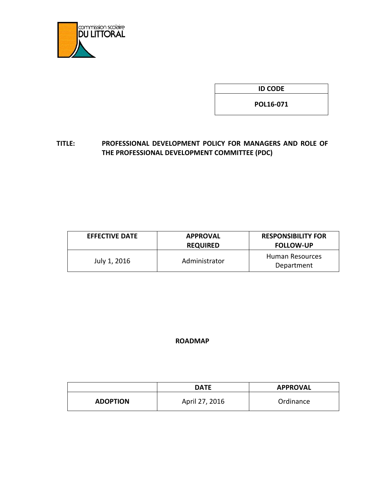

**ID CODE**

**POL16-071**

## **TITLE: PROFESSIONAL DEVELOPMENT POLICY FOR MANAGERS AND ROLE OF THE PROFESSIONAL DEVELOPMENT COMMITTEE (PDC)**

| <b>EFFECTIVE DATE</b> | <b>APPROVAL</b><br><b>REQUIRED</b> | <b>RESPONSIBILITY FOR</b><br><b>FOLLOW-UP</b> |
|-----------------------|------------------------------------|-----------------------------------------------|
| July 1, 2016          | Administrator                      | Human Resources<br>Department                 |

# **ROADMAP**

|                 | <b>DATE</b>    | <b>APPROVAL</b> |
|-----------------|----------------|-----------------|
| <b>ADOPTION</b> | April 27, 2016 | Ordinance       |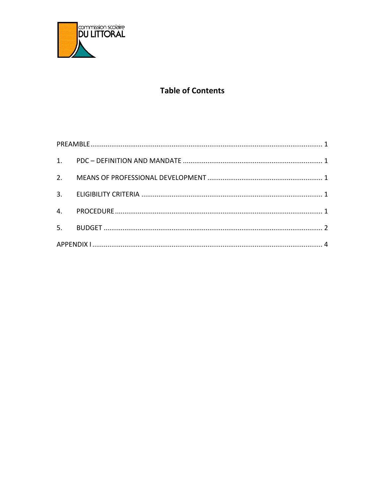

# **Table of Contents**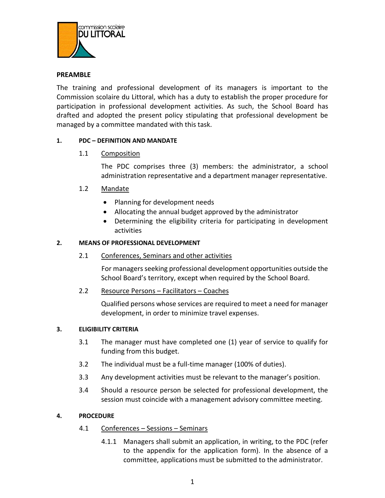

#### <span id="page-2-0"></span>**PREAMBLE**

The training and professional development of its managers is important to the Commission scolaire du Littoral, which has a duty to establish the proper procedure for participation in professional development activities. As such, the School Board has drafted and adopted the present policy stipulating that professional development be managed by a committee mandated with this task.

#### <span id="page-2-1"></span>**1. PDC – DEFINITION AND MANDATE**

## 1.1 Composition

The PDC comprises three (3) members: the administrator, a school administration representative and a department manager representative.

## 1.2 Mandate

- Planning for development needs
- Allocating the annual budget approved by the administrator
- Determining the eligibility criteria for participating in development activities

#### <span id="page-2-2"></span>**2. MEANS OF PROFESSIONAL DEVELOPMENT**

#### 2.1 Conferences, Seminars and other activities

For managers seeking professional development opportunities outside the School Board's territory, except when required by the School Board.

#### 2.2 Resource Persons – Facilitators – Coaches

Qualified persons whose services are required to meet a need for manager development, in order to minimize travel expenses.

#### <span id="page-2-3"></span>**3. ELIGIBILITY CRITERIA**

- 3.1 The manager must have completed one (1) year of service to qualify for funding from this budget.
- 3.2 The individual must be a full-time manager (100% of duties).
- 3.3 Any development activities must be relevant to the manager's position.
- 3.4 Should a resource person be selected for professional development, the session must coincide with a management advisory committee meeting.

#### <span id="page-2-4"></span>**4. PROCEDURE**

#### 4.1 Conferences – Sessions – Seminars

4.1.1 Managers shall submit an application, in writing, to the PDC (refer to the appendix for the application form). In the absence of a committee, applications must be submitted to the administrator.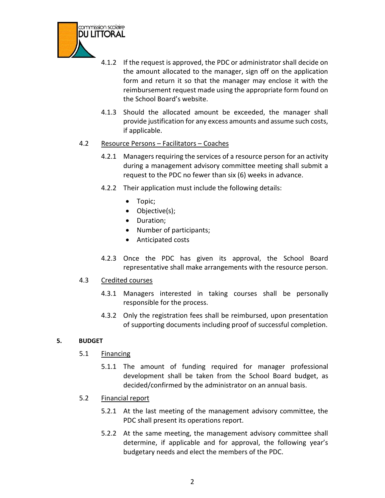

- 4.1.2 If the request is approved, the PDC or administrator shall decide on the amount allocated to the manager, sign off on the application form and return it so that the manager may enclose it with the reimbursement request made using the appropriate form found on the School Board's website.
- 4.1.3 Should the allocated amount be exceeded, the manager shall provide justification for any excess amounts and assume such costs, if applicable.

## 4.2 Resource Persons – Facilitators – Coaches

- 4.2.1 Managers requiring the services of a resource person for an activity during a management advisory committee meeting shall submit a request to the PDC no fewer than six (6) weeks in advance.
- 4.2.2 Their application must include the following details:
	- Topic;
	- Objective(s);
	- Duration;
	- Number of participants;
	- Anticipated costs
- 4.2.3 Once the PDC has given its approval, the School Board representative shall make arrangements with the resource person.

#### 4.3 Credited courses

- 4.3.1 Managers interested in taking courses shall be personally responsible for the process.
- 4.3.2 Only the registration fees shall be reimbursed, upon presentation of supporting documents including proof of successful completion.

#### <span id="page-3-0"></span>**5. BUDGET**

#### 5.1 Financing

5.1.1 The amount of funding required for manager professional development shall be taken from the School Board budget, as decided/confirmed by the administrator on an annual basis.

#### 5.2 Financial report

- 5.2.1 At the last meeting of the management advisory committee, the PDC shall present its operations report.
- 5.2.2 At the same meeting, the management advisory committee shall determine, if applicable and for approval, the following year's budgetary needs and elect the members of the PDC.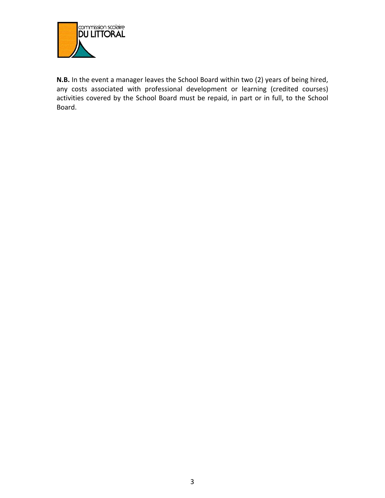

**N.B.** In the event a manager leaves the School Board within two (2) years of being hired, any costs associated with professional development or learning (credited courses) activities covered by the School Board must be repaid, in part or in full, to the School Board.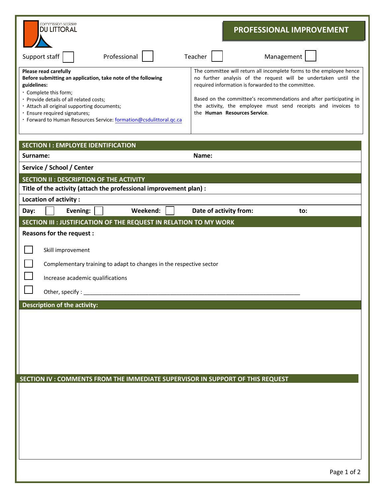| commission scolaire<br><b>DU LITTORAL</b>                                                                                                                                                                                                                                                                                      | PROFESSIONAL IMPROVEMENT                                                                                                                                                                                                                                                                                                                                               |
|--------------------------------------------------------------------------------------------------------------------------------------------------------------------------------------------------------------------------------------------------------------------------------------------------------------------------------|------------------------------------------------------------------------------------------------------------------------------------------------------------------------------------------------------------------------------------------------------------------------------------------------------------------------------------------------------------------------|
| Support staff<br>Professional                                                                                                                                                                                                                                                                                                  | Management<br>Teacher                                                                                                                                                                                                                                                                                                                                                  |
| Please read carefully<br>Before submitting an application, take note of the following<br>guidelines:<br>· Complete this form;<br>· Provide details of all related costs;<br>· Attach all original supporting documents;<br>· Ensure required signatures;<br>· Forward to Human Resources Service: formation@csdulittoral.qc.ca | The committee will return all incomplete forms to the employee hence<br>no further analysis of the request will be undertaken until the<br>required information is forwarded to the committee.<br>Based on the committee's recommendations and after participating in<br>the activity, the employee must send receipts and invoices to<br>the Human Resources Service. |
| <b>SECTION I: EMPLOYEE IDENTIFICATION</b>                                                                                                                                                                                                                                                                                      |                                                                                                                                                                                                                                                                                                                                                                        |
| Surname:<br>Service / School / Center                                                                                                                                                                                                                                                                                          | Name:                                                                                                                                                                                                                                                                                                                                                                  |
| SECTION II: DESCRIPTION OF THE ACTIVITY                                                                                                                                                                                                                                                                                        |                                                                                                                                                                                                                                                                                                                                                                        |
| Title of the activity (attach the professional improvement plan) :                                                                                                                                                                                                                                                             |                                                                                                                                                                                                                                                                                                                                                                        |
| <b>Location of activity:</b>                                                                                                                                                                                                                                                                                                   |                                                                                                                                                                                                                                                                                                                                                                        |
| Weekend:<br>Evening:<br>Day:                                                                                                                                                                                                                                                                                                   | Date of activity from:<br>to:                                                                                                                                                                                                                                                                                                                                          |
| SECTION III : JUSTIFICATION OF THE REQUEST IN RELATION TO MY WORK                                                                                                                                                                                                                                                              |                                                                                                                                                                                                                                                                                                                                                                        |
| <b>Reasons for the request:</b>                                                                                                                                                                                                                                                                                                |                                                                                                                                                                                                                                                                                                                                                                        |
| Skill improvement                                                                                                                                                                                                                                                                                                              |                                                                                                                                                                                                                                                                                                                                                                        |
| Complementary training to adapt to changes in the respective sector                                                                                                                                                                                                                                                            |                                                                                                                                                                                                                                                                                                                                                                        |
| Increase academic qualifications                                                                                                                                                                                                                                                                                               |                                                                                                                                                                                                                                                                                                                                                                        |
| Other, specify :                                                                                                                                                                                                                                                                                                               |                                                                                                                                                                                                                                                                                                                                                                        |
| <b>Description of the activity:</b>                                                                                                                                                                                                                                                                                            |                                                                                                                                                                                                                                                                                                                                                                        |
|                                                                                                                                                                                                                                                                                                                                |                                                                                                                                                                                                                                                                                                                                                                        |
|                                                                                                                                                                                                                                                                                                                                |                                                                                                                                                                                                                                                                                                                                                                        |
|                                                                                                                                                                                                                                                                                                                                |                                                                                                                                                                                                                                                                                                                                                                        |
|                                                                                                                                                                                                                                                                                                                                |                                                                                                                                                                                                                                                                                                                                                                        |
|                                                                                                                                                                                                                                                                                                                                |                                                                                                                                                                                                                                                                                                                                                                        |
| SECTION IV : COMMENTS FROM THE IMMEDIATE SUPERVISOR IN SUPPORT OF THIS REQUEST                                                                                                                                                                                                                                                 |                                                                                                                                                                                                                                                                                                                                                                        |
|                                                                                                                                                                                                                                                                                                                                |                                                                                                                                                                                                                                                                                                                                                                        |
|                                                                                                                                                                                                                                                                                                                                |                                                                                                                                                                                                                                                                                                                                                                        |
|                                                                                                                                                                                                                                                                                                                                |                                                                                                                                                                                                                                                                                                                                                                        |
|                                                                                                                                                                                                                                                                                                                                |                                                                                                                                                                                                                                                                                                                                                                        |
|                                                                                                                                                                                                                                                                                                                                |                                                                                                                                                                                                                                                                                                                                                                        |
|                                                                                                                                                                                                                                                                                                                                |                                                                                                                                                                                                                                                                                                                                                                        |
|                                                                                                                                                                                                                                                                                                                                |                                                                                                                                                                                                                                                                                                                                                                        |